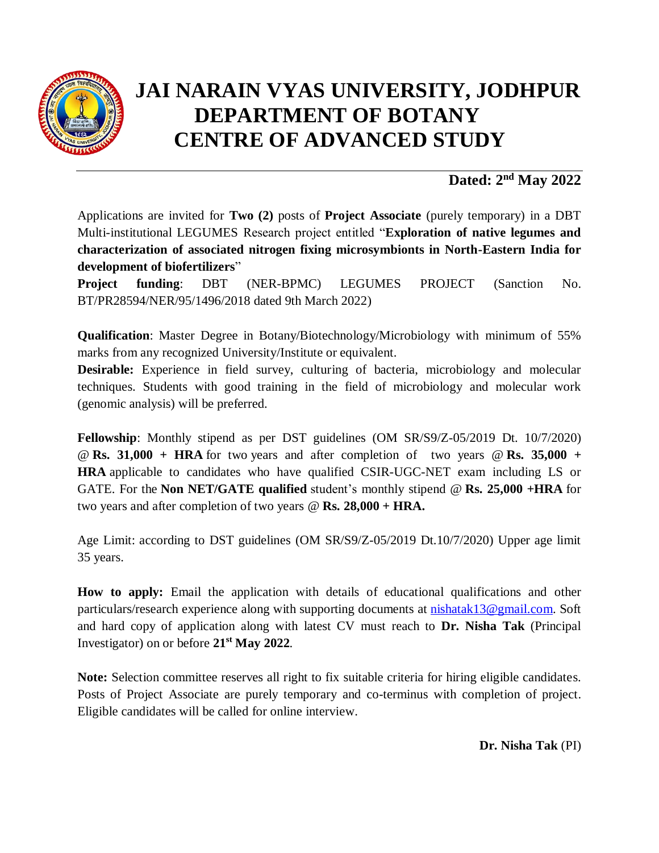

## **JAI NARAIN VYAS UNIVERSITY, JODHPUR DEPARTMENT OF BOTANY CENTRE OF ADVANCED STUDY**

## **Dated: 2 nd May 2022**

Applications are invited for **Two (2)** posts of **Project Associate** (purely temporary) in a DBT Multi-institutional LEGUMES Research project entitled "**Exploration of native legumes and characterization of associated nitrogen fixing microsymbionts in North-Eastern India for development of biofertilizers**"

**Project funding**: DBT (NER-BPMC) LEGUMES PROJECT (Sanction No. BT/PR28594/NER/95/1496/2018 dated 9th March 2022)

**Qualification**: Master Degree in Botany/Biotechnology/Microbiology with minimum of 55% marks from any recognized University/Institute or equivalent.

**Desirable:** Experience in field survey, culturing of bacteria, microbiology and molecular techniques. Students with good training in the field of microbiology and molecular work (genomic analysis) will be preferred.

**Fellowship**: Monthly stipend as per DST guidelines (OM SR/S9/Z-05/2019 Dt. 10/7/2020) @ **Rs. 31,000 + HRA** for two years and after completion of two years @ **Rs. 35,000 + HRA** applicable to candidates who have qualified CSIR-UGC-NET exam including LS or GATE. For the **Non NET/GATE qualified** student's monthly stipend @ **Rs. 25,000 +HRA** for two years and after completion of two years @ **Rs. 28,000 + HRA.**

Age Limit: according to DST guidelines (OM SR/S9/Z-05/2019 Dt.10/7/2020) Upper age limit 35 years.

**How to apply:** Email the application with details of educational qualifications and other particulars/research experience along with supporting documents at **nishatak13@gmail.com**. Soft and hard copy of application along with latest CV must reach to **Dr. Nisha Tak** (Principal Investigator) on or before **21 st May 2022**.

**Note:** Selection committee reserves all right to fix suitable criteria for hiring eligible candidates. Posts of Project Associate are purely temporary and co-terminus with completion of project. Eligible candidates will be called for online interview.

**Dr. Nisha Tak** (PI)